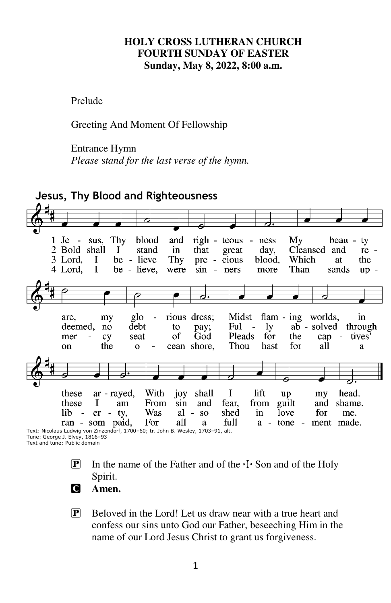#### **HOLY CROSS LUTHERAN CHURCH FOURTH SUNDAY OF EASTER Sunday, May 8, 2022, 8:00 a.m.**

Prelude

Greeting And Moment Of Fellowship

#### Entrance Hymn

*Please* s*tand for the last verse of the hymn.* 



Tune: George J. Elvey, 1816–93 Text and tune: Public domain

- **P** In the name of the Father and of the  $\pm$  Son and of the Holy Spirit.
	- C **Amen.**
	- $\mathbf{P}$  Beloved in the Lord! Let us draw near with a true heart and confess our sins unto God our Father, beseeching Him in the name of our Lord Jesus Christ to grant us forgiveness.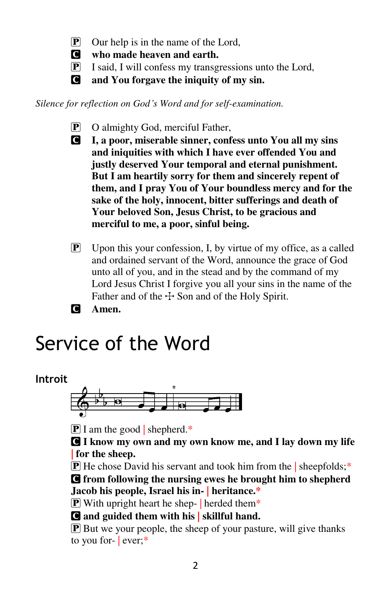P Our help is in the name of the Lord,

C **who made heaven and earth.** 

- P I said, I will confess my transgressions unto the Lord,
- C **and You forgave the iniquity of my sin.**

*Silence for reflection on God's Word and for self-examination.* 

- P O almighty God, merciful Father,
- C **I, a poor, miserable sinner, confess unto You all my sins and iniquities with which I have ever offended You and justly deserved Your temporal and eternal punishment. But I am heartily sorry for them and sincerely repent of them, and I pray You of Your boundless mercy and for the sake of the holy, innocent, bitter sufferings and death of Your beloved Son, Jesus Christ, to be gracious and merciful to me, a poor, sinful being.**
- P Upon this your confession, I, by virtue of my office, as a called and ordained servant of the Word, announce the grace of God unto all of you, and in the stead and by the command of my Lord Jesus Christ I forgive you all your sins in the name of the Father and of the  $\pm$  Son and of the Holy Spirit.

C **Amen.** 

# Service of the Word

# **Introit**



 $\mathbf{P}$  I am the good shepherd.\*

C **I know my own and my own know me, and I lay down my life | for the sheep.** 

 $\mathbf{\overline{P}}$  He chose David his servant and took him from the | sheepfolds;\*

C **from following the nursing ewes he brought him to shepherd Jacob his people, Israel his in- | heritance.\*** 

**P** With upright heart he shep- | herded them\*

C **and guided them with his | skillful hand.** 

P But we your people, the sheep of your pasture, will give thanks to you for- $|$  ever;<sup>\*</sup>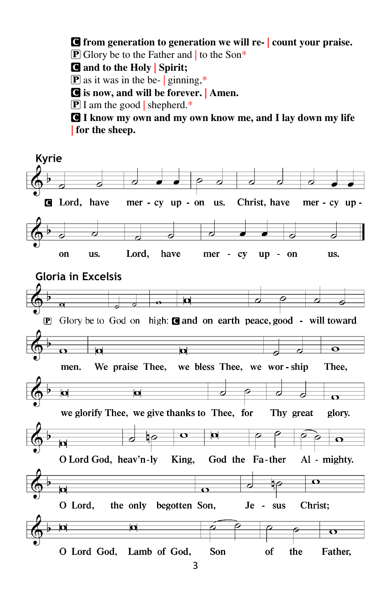C **from generation to generation we will re- | count your praise.** 

 $\boxed{\mathbf{P}}$  Glory be to the Father and to the Son\*

C **and to the Holy | Spirit;** 

 $\boxed{\mathbf{P}}$  as it was in the be- | ginning,\*

C **is now, and will be forever. | Amen.** 

 $\boxed{\mathbf{P}}$  I am the good | shepherd.\*

C **I know my own and my own know me, and I lay down my life | for the sheep.** 

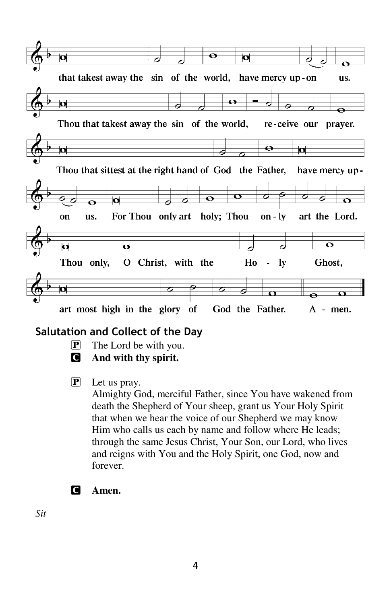

# **Salutation and Collect of the Day**

- $\boxed{\mathbf{P}}$  The Lord be with you.
- C **And with thy spirit.**
- P Let us pray.

Almighty God, merciful Father, since You have wakened from death the Shepherd of Your sheep, grant us Your Holy Spirit that when we hear the voice of our Shepherd we may know Him who calls us each by name and follow where He leads; through the same Jesus Christ, Your Son, our Lord, who lives and reigns with You and the Holy Spirit, one God, now and forever.

C **Amen.** 

*Sit*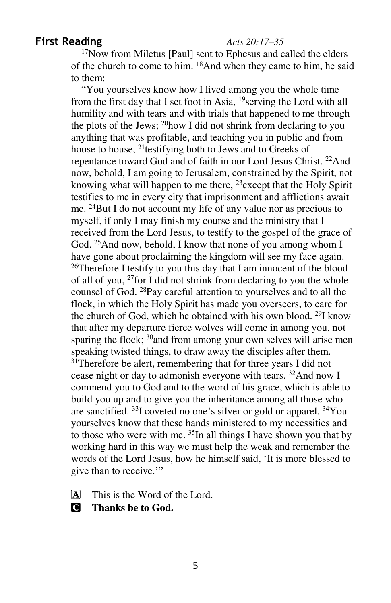#### **First Reading** *Acts 20:17–35*

<sup>17</sup>Now from Miletus [Paul] sent to Ephesus and called the elders of the church to come to him. <sup>18</sup>And when they came to him, he said to them:

"You yourselves know how I lived among you the whole time from the first day that I set foot in Asia, <sup>19</sup>serving the Lord with all humility and with tears and with trials that happened to me through the plots of the Jews; <sup>20</sup>how I did not shrink from declaring to you anything that was profitable, and teaching you in public and from house to house, <sup>21</sup>testifying both to Jews and to Greeks of repentance toward God and of faith in our Lord Jesus Christ. <sup>22</sup>And now, behold, I am going to Jerusalem, constrained by the Spirit, not knowing what will happen to me there, <sup>23</sup>except that the Holy Spirit testifies to me in every city that imprisonment and afflictions await me. <sup>24</sup>But I do not account my life of any value nor as precious to myself, if only I may finish my course and the ministry that I received from the Lord Jesus, to testify to the gospel of the grace of God. <sup>25</sup>And now, behold, I know that none of you among whom I have gone about proclaiming the kingdom will see my face again. <sup>26</sup>Therefore I testify to you this day that I am innocent of the blood of all of you, <sup>27</sup>for I did not shrink from declaring to you the whole counsel of God. <sup>28</sup>Pay careful attention to yourselves and to all the flock, in which the Holy Spirit has made you overseers, to care for the church of God, which he obtained with his own blood. <sup>29</sup>I know that after my departure fierce wolves will come in among you, not sparing the flock;  $30$  and from among your own selves will arise men speaking twisted things, to draw away the disciples after them. <sup>31</sup>Therefore be alert, remembering that for three years I did not cease night or day to admonish everyone with tears. <sup>32</sup>And now I commend you to God and to the word of his grace, which is able to build you up and to give you the inheritance among all those who are sanctified. <sup>33</sup>I coveted no one's silver or gold or apparel. <sup>34</sup>You yourselves know that these hands ministered to my necessities and to those who were with me. <sup>35</sup>In all things I have shown you that by working hard in this way we must help the weak and remember the words of the Lord Jesus, how he himself said, 'It is more blessed to give than to receive.'"

A This is the Word of the Lord.

C **Thanks be to God.**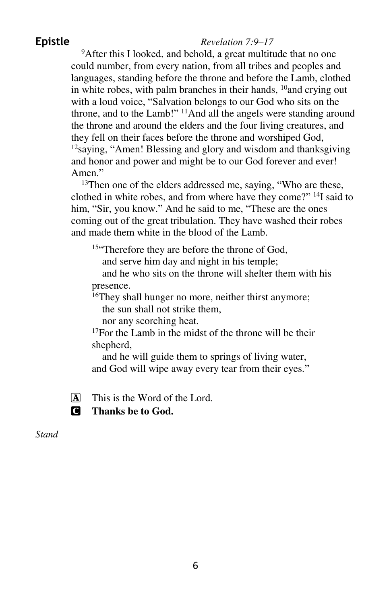#### **Epistle** *Revelation 7:9–17*

<sup>9</sup>After this I looked, and behold, a great multitude that no one could number, from every nation, from all tribes and peoples and languages, standing before the throne and before the Lamb, clothed in white robes, with palm branches in their hands,  $^{10}$  and crying out with a loud voice, "Salvation belongs to our God who sits on the throne, and to the Lamb!" <sup>11</sup>And all the angels were standing around the throne and around the elders and the four living creatures, and they fell on their faces before the throne and worshiped God, <sup>12</sup>saying, "Amen! Blessing and glory and wisdom and thanksgiving and honor and power and might be to our God forever and ever! Amen."

<sup>13</sup>Then one of the elders addressed me, saying, "Who are these, clothed in white robes, and from where have they come?" <sup>14</sup>I said to him, "Sir, you know." And he said to me, "These are the ones coming out of the great tribulation. They have washed their robes and made them white in the blood of the Lamb.

<sup>15"</sup>Therefore they are before the throne of God,

and serve him day and night in his temple;

and he who sits on the throne will shelter them with his presence.

 $16$ They shall hunger no more, neither thirst anymore;

the sun shall not strike them,

nor any scorching heat.

 $17$ For the Lamb in the midst of the throne will be their shepherd,

and he will guide them to springs of living water, and God will wipe away every tear from their eyes."

A This is the Word of the Lord.



C **Thanks be to God.** 

*Stand*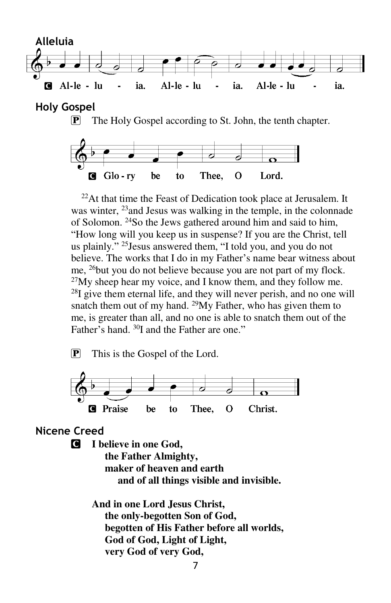

**Holy Gospel**

**P** The Holy Gospel according to St. John, the tenth chapter.



 $^{22}$ At that time the Feast of Dedication took place at Jerusalem. It was winter, <sup>23</sup> and Jesus was walking in the temple, in the colonnade of Solomon. <sup>24</sup>So the Jews gathered around him and said to him, "How long will you keep us in suspense? If you are the Christ, tell us plainly." <sup>25</sup>Jesus answered them, "I told you, and you do not believe. The works that I do in my Father's name bear witness about me, <sup>26</sup>but you do not believe because you are not part of my flock.  $27$ My sheep hear my voice, and I know them, and they follow me. <sup>28</sup>I give them eternal life, and they will never perish, and no one will snatch them out of my hand.  $^{29}My$  Father, who has given them to me, is greater than all, and no one is able to snatch them out of the Father's hand. <sup>30</sup>I and the Father are one."

P This is the Gospel of the Lord.



### **Nicene Creed**

C **I believe in one God, the Father Almighty, maker of heaven and earth and of all things visible and invisible.** 

> **And in one Lord Jesus Christ, the only-begotten Son of God, begotten of His Father before all worlds, God of God, Light of Light, very God of very God,**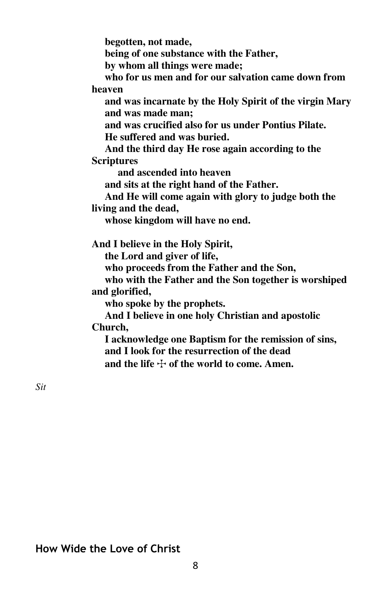**begotten, not made, being of one substance with the Father, by whom all things were made; who for us men and for our salvation came down from heaven and was incarnate by the Holy Spirit of the virgin Mary and was made man; and was crucified also for us under Pontius Pilate. He suffered and was buried. And the third day He rose again according to the Scriptures and ascended into heaven and sits at the right hand of the Father. And He will come again with glory to judge both the living and the dead, whose kingdom will have no end. And I believe in the Holy Spirit, the Lord and giver of life, who proceeds from the Father and the Son, who with the Father and the Son together is worshiped and glorified, who spoke by the prophets. And I believe in one holy Christian and apostolic Church, I acknowledge one Baptism for the remission of sins, and I look for the resurrection of the dead** 

*Sit* 

### **How Wide the Love of Christ**

and the life  $\div$  of the world to come. Amen.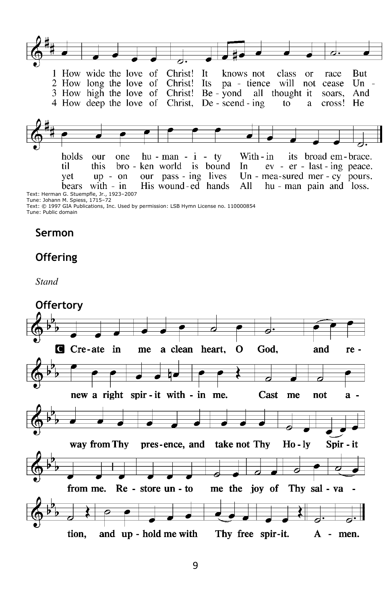

Tune: Johann M. Spiess, 1715–72

Text: © 1997 GIA Publications, Inc. Used by permission: LSB Hymn License no. 110000854 Tune: Public domain

#### **Sermon**

### **Offering**

*Stand* 

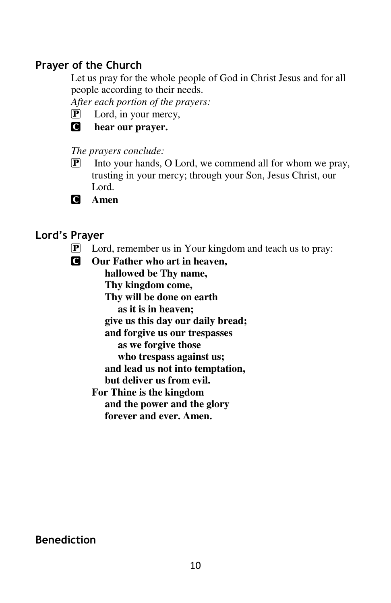# **Prayer of the Church**

Let us pray for the whole people of God in Christ Jesus and for all people according to their needs.

*After each portion of the prayers:* 

P Lord, in your mercy,



C **hear our prayer.** 

#### *The prayers conclude:*

- $\mathbb{P}$  Into your hands, O Lord, we commend all for whom we pray, trusting in your mercy; through your Son, Jesus Christ, our Lord.
- C **Amen**

# **Lord's Prayer**

- P Lord, remember us in Your kingdom and teach us to pray:
- C **Our Father who art in heaven,**

 **hallowed be Thy name, Thy kingdom come, Thy will be done on earth as it is in heaven; give us this day our daily bread; and forgive us our trespasses as we forgive those who trespass against us; and lead us not into temptation, but deliver us from evil. For Thine is the kingdom and the power and the glory forever and ever. Amen.** 

# **Benediction**